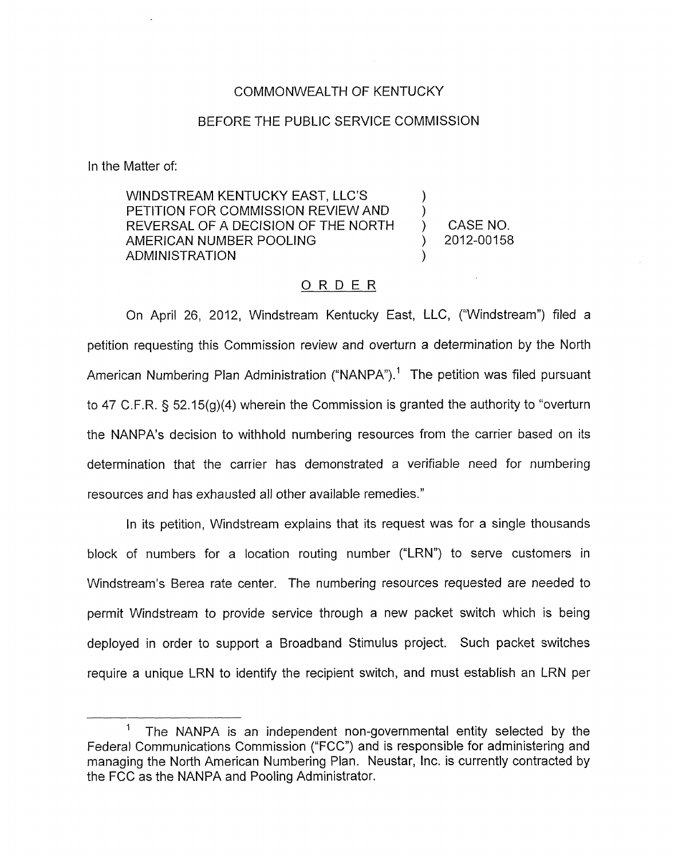## COMMONWEALTH OF KENTUCKY

## BEFORE THE PUBLIC SERVICE COMMISSION

In the Matter of:

WINDSTREAM KENTUCKY EAST, LLC'S PETITION FOR COMMISSION REVIEW AND  $\qquad$  )<br>REVERSAL OF A DECISION OF THE NORTH  $\qquad$  ) REVERSAL OF A DECISION OF THE NORTH ) CASE NO.<br>AMERICAN NUMBER POOLING (2012-00158 AMERICAN NUMBER POOLING ADMINISTRATION

## ORDER

On April 26, 2012, Windstream Kentucky East, LLC, ("Windstream") filed a petition requesting this Commission review and overturn a determination by the North American Numbering Plan Administration ("NANPA").<sup>1</sup> The petition was filed pursuant to 47 C.F.R.  $\S$  52.15(g)(4) wherein the Commission is granted the authority to "overturn the NANPA's decision to withhold numbering resources from the carrier based on its determination that the carrier has demonstrated a verifiable need for numbering resources and has exhausted all other available remedies."

In its petition, Windstream explains that its request was for a single thousands block of numbers for a location routing number ("LRN") to serve customers in Windstream's Berea rate center. The numbering resources requested are needed to permit Windstream to provide service through a new packet switch which is being deployed in order to support a Broadband Stimulus project. Such packet switches require a unique LRN to identify the recipient switch, and must establish an LRN per

The NANPA is an independent non-governmental entity selected by the Federal Communications Commission ("FCC") and is responsible for administering and managing the North American Numbering Plan. Neustar, Inc. is currently contracted by the FCC as the NANPA and Pooling Administrator.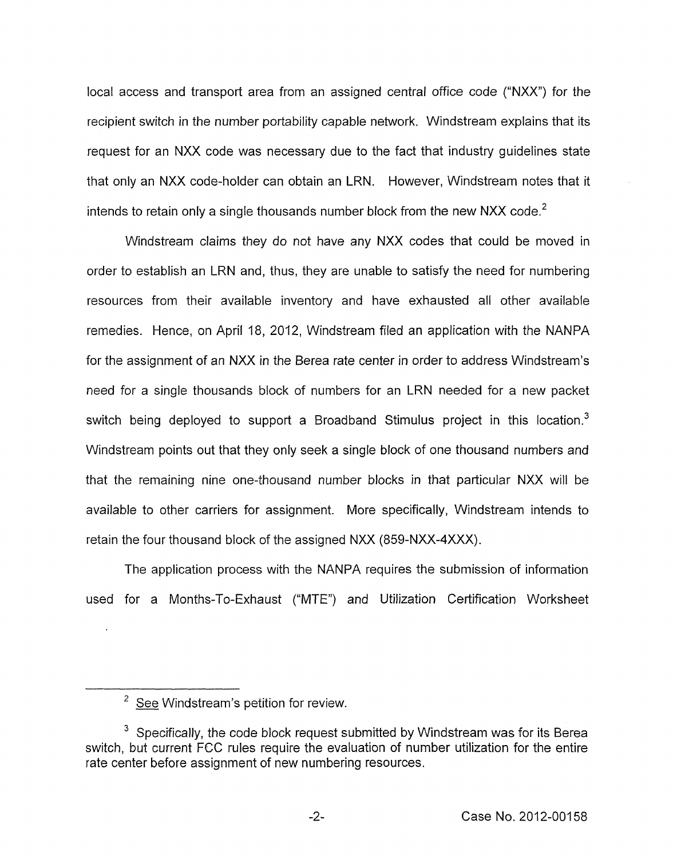local access and transport area from an assigned central office code ("NXX") for the recipient switch in the number portability capable network, Windstream explains that its request for an NXX code was necessary due to the fact that industry guidelines state that only an NXX code-holder can obtain an LRN. However, Windstream notes that it intends to retain only a single thousands number block from the new NXX code. $<sup>2</sup>$ </sup>

Windstream claims they do not have any NXX codes that could be moved in order to establish an LRN and, thus, they are unable to satisfy the need for numbering resources from their available inventory and have exhausted all other available remedies. Hence, on April 18, 2012, Windstream filed an application with the NANPA for the assignment of an NXX in the Berea rate center in order to address Windstream's need for a single thousands block of numbers for an LRN needed for a new packet switch being deployed to support a Broadband Stimulus project in this location. ${}^{3}$ Windstream points out that they only seek a single block of one thousand numbers and that the remaining nine one-thousand number blocks in that particular NXX will be available to other carriers for assignment. More specifically, Windstream intends to retain the four thousand block of the assigned NXX (859-NXX-4XXX).

The application process with the NANPA requires the submission of information used for a Months-To-Exhaust ("MTE") and Utilization Certification Worksheet

 $2$  See Windstream's petition for review.

 $3$  Specifically, the code block request submitted by Windstream was for its Berea switch, but current FCC rules require the evaluation of number utilization for the entire rate center before assignment of new numbering resources.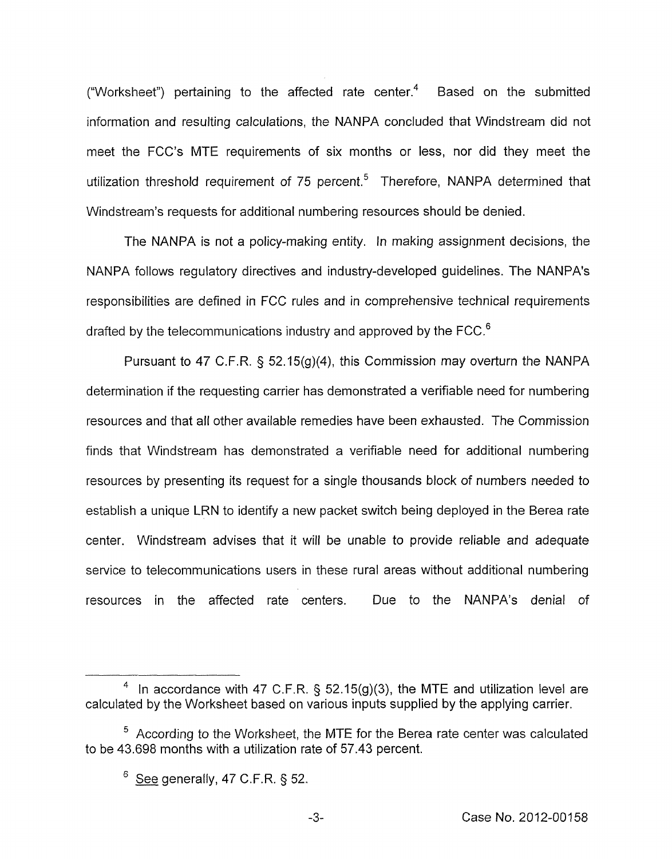("Worksheet") pertaining to the affected rate center. $<sup>4</sup>$  Based on the submitted</sup> information and resulting calculations, the NANPA concluded that Windstream did not meet the FCC's MTE requirements of six months or less, nor did they meet the utilization threshold requirement of 75 percent.<sup>5</sup> Therefore, NANPA determined that Windstream's requests for additional numbering resources should be denied.

The NANPA is not a policy-making entity. In making assignment decisions, the NANPA follows regulatory directives and industry-developed guidelines. The NANPA's responsibilities are defined in FCC rules and in comprehensive technical requirements drafted by the telecommunications industry and approved by the FCC.<sup>6</sup>

Pursuant to 47 C.F.R. § 52.15(g)(4), this Commission may overturn the NANPA determination if the requesting carrier has demonstrated a verifiable need for numbering resources and that all other available remedies have been exhausted. The Commission finds that Windstream has demonstrated a verifiable need for additional numbering resources by presenting its request for a single thousands block of numbers needed to establish a unique LRN to identify a new packet switch being deployed in the Berea rate center. Windstream advises that it will be unable to provide reliable and adequate service to telecommunications users in these rural areas without additional numbering resources in the affected rate centers. Due to the NANPA's denial of

<sup>&</sup>lt;sup>4</sup> In accordance with 47 C.F.R. § 52.15(g)(3), the MTE and utilization level are calculated by the Worksheet based on various inputs supplied by the applying carrier.

 $5$  According to the Worksheet, the MTE for the Berea rate center was calculated to be 43.698 months with a utilization rate of 57.43 percent.

 $6$  See generally, 47 C.F.R. § 52.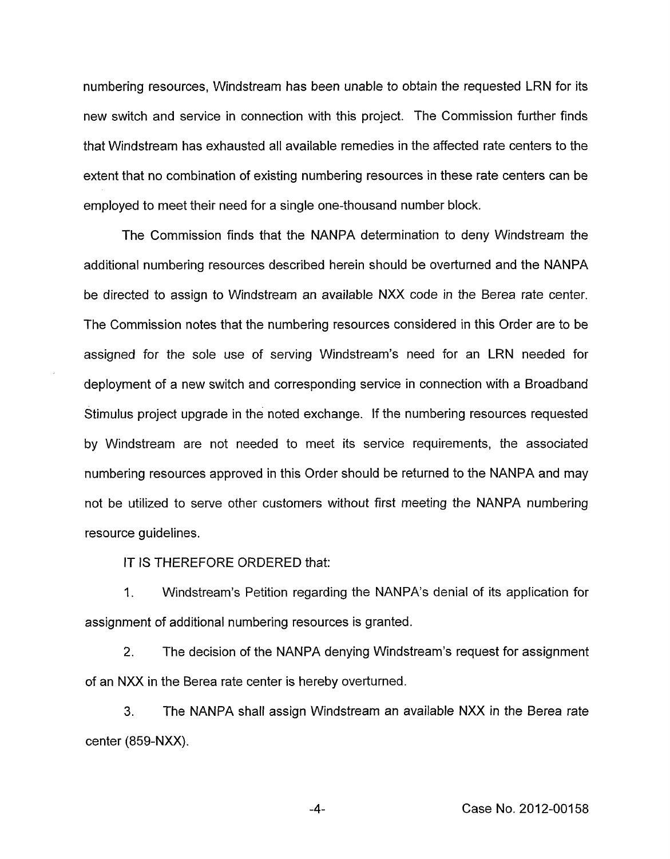numbering resources, Windstream has been unable to obtain the requested LRN for its new switch and service in connection with this project. The Commission further finds that Windstream has exhausted all available remedies in the affected rate centers to the extent that no combination of existing numbering resources in these rate centers can be employed to meet their need for a single one-thousand number block.

The Commission finds that the NANPA determination to deny Windstream the additional numbering resources described herein should be overturned and the NANPA be directed to assign to Windstream an available NXX code in the Berea rate center. The Commission notes that the numbering resources considered in this Order are to be assigned for the sole use of serving Windstream's need for an LRN needed for deployment of a new switch and corresponding service in connection with a Broadband Stimulus project upgrade in the noted exchange. If the numbering resources requested by Windstream are not needed to meet its service requirements, the associated numbering resources approved in this Order should be returned to the NANPA and may not be utilized to serve other customers without first meeting the NANPA numbering resource guidelines.

IT **IS** THEREFORE ORDERED that:

1. Windstream's Petition regarding the NANPA's denial of its application for assignment of additional numbering resources is granted.

2. The decision of the NANPA denying Windstream's request for assignment of an NXX in the Berea rate center is hereby overturned.

**3.** The NANPA shall assign Windstream an available NXX in the Berea rate center (859-NXX).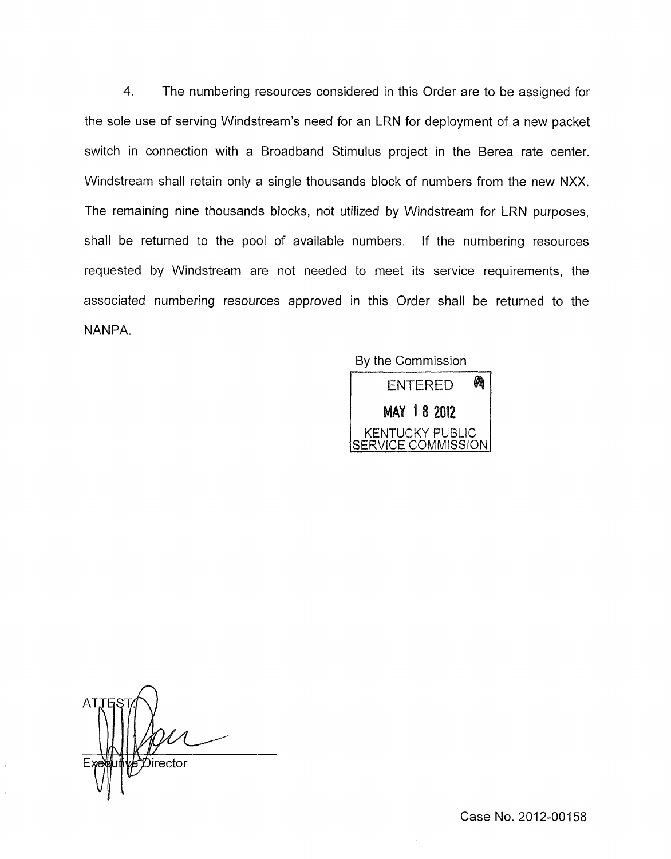**4.** The numbering resources considered in this Order are to be assigned for the sole use of serving Windstream's need for an LRN for deployment of a new packet switch in connection with a Broadband Stimulus project in the Berea rate center. Windstream shall retain only a single thousands block of numbers from the new NXX. The remaining nine thousands blocks, not utilized by Windstream for LRN purposes, shall be returned to the pool of available numbers. If the numbering resources requested by Windstream are not needed to meet its service requirements, the associated numbering resources approved in this Order shall be returned to the NANPA.

By the Commission



n *b*irector

Case No. 2012-00158